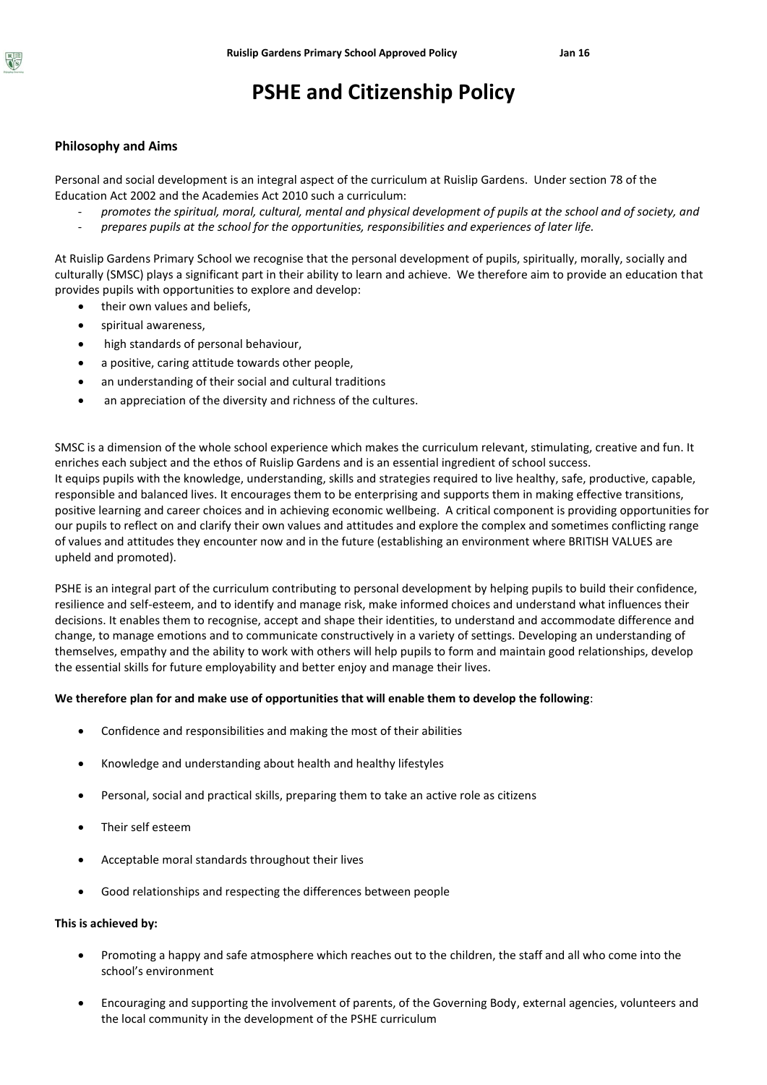# **PSHE and Citizenship Policy**

## **Philosophy and Aims**

Personal and social development is an integral aspect of the curriculum at Ruislip Gardens. Under section 78 of the Education Act 2002 and the Academies Act 2010 such a curriculum:

- *promotes the spiritual, moral, cultural, mental and physical development of pupils at the school and of society, and*
- *prepares pupils at the school for the opportunities, responsibilities and experiences of later life.*

At Ruislip Gardens Primary School we recognise that the personal development of pupils, spiritually, morally, socially and culturally (SMSC) plays a significant part in their ability to learn and achieve. We therefore aim to provide an education that provides pupils with opportunities to explore and develop:

- their own values and beliefs,
- spiritual awareness,
- high standards of personal behaviour,
- a positive, caring attitude towards other people,
- an understanding of their social and cultural traditions
- an appreciation of the diversity and richness of the cultures.

SMSC is a dimension of the whole school experience which makes the curriculum relevant, stimulating, creative and fun. It enriches each subject and the ethos of Ruislip Gardens and is an essential ingredient of school success. It equips pupils with the knowledge, understanding, skills and strategies required to live healthy, safe, productive, capable, responsible and balanced lives. It encourages them to be enterprising and supports them in making effective transitions, positive learning and career choices and in achieving economic wellbeing. A critical component is providing opportunities for our pupils to reflect on and clarify their own values and attitudes and explore the complex and sometimes conflicting range of values and attitudes they encounter now and in the future (establishing an environment where BRITISH VALUES are upheld and promoted).

PSHE is an integral part of the curriculum contributing to personal development by helping pupils to build their confidence, resilience and self-esteem, and to identify and manage risk, make informed choices and understand what influences their decisions. It enables them to recognise, accept and shape their identities, to understand and accommodate difference and change, to manage emotions and to communicate constructively in a variety of settings. Developing an understanding of themselves, empathy and the ability to work with others will help pupils to form and maintain good relationships, develop the essential skills for future employability and better enjoy and manage their lives.

### **We therefore plan for and make use of opportunities that will enable them to develop the following**:

- Confidence and responsibilities and making the most of their abilities
- Knowledge and understanding about health and healthy lifestyles
- Personal, social and practical skills, preparing them to take an active role as citizens
- Their self esteem
- Acceptable moral standards throughout their lives
- Good relationships and respecting the differences between people

#### **This is achieved by:**

- Promoting a happy and safe atmosphere which reaches out to the children, the staff and all who come into the school's environment
- Encouraging and supporting the involvement of parents, of the Governing Body, external agencies, volunteers and the local community in the development of the PSHE curriculum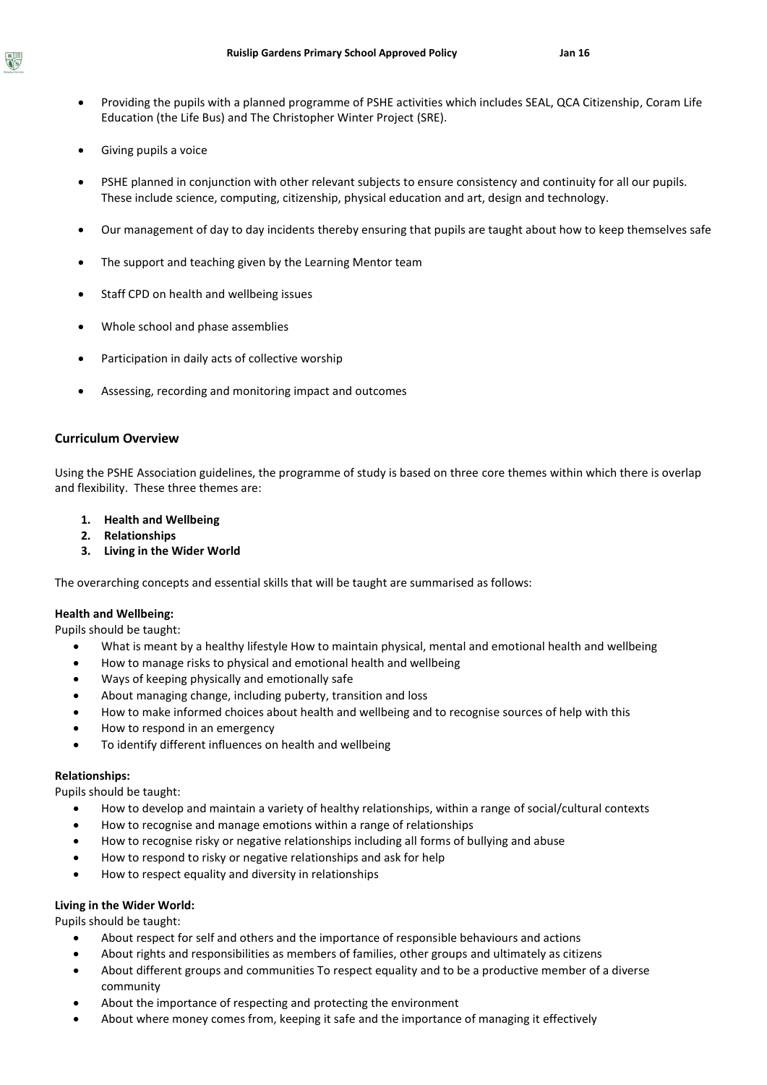- Providing the pupils with a planned programme of PSHE activities which includes SEAL, QCA Citizenship, Coram Life Education (the Life Bus) and The Christopher Winter Project (SRE).
- Giving pupils a voice
- PSHE planned in conjunction with other relevant subjects to ensure consistency and continuity for all our pupils. These include science, computing, citizenship, physical education and art, design and technology.
- Our management of day to day incidents thereby ensuring that pupils are taught about how to keep themselves safe
- The support and teaching given by the Learning Mentor team
- Staff CPD on health and wellbeing issues
- Whole school and phase assemblies
- Participation in daily acts of collective worship
- Assessing, recording and monitoring impact and outcomes

### **Curriculum Overview**

Using the PSHE Association guidelines, the programme of study is based on three core themes within which there is overlap and flexibility. These three themes are:

- **1. Health and Wellbeing**
- **2. Relationships**
- **3. Living in the Wider World**

The overarching concepts and essential skills that will be taught are summarised as follows:

### **Health and Wellbeing:**

Pupils should be taught:

- What is meant by a healthy lifestyle How to maintain physical, mental and emotional health and wellbeing
- How to manage risks to physical and emotional health and wellbeing
- Ways of keeping physically and emotionally safe
- About managing change, including puberty, transition and loss
- How to make informed choices about health and wellbeing and to recognise sources of help with this
- How to respond in an emergency
- To identify different influences on health and wellbeing

### **Relationships:**

Pupils should be taught:

- How to develop and maintain a variety of healthy relationships, within a range of social/cultural contexts
- How to recognise and manage emotions within a range of relationships
- How to recognise risky or negative relationships including all forms of bullying and abuse
- How to respond to risky or negative relationships and ask for help
- How to respect equality and diversity in relationships

## **Living in the Wider World:**

Pupils should be taught:

- About respect for self and others and the importance of responsible behaviours and actions
- About rights and responsibilities as members of families, other groups and ultimately as citizens
- About different groups and communities To respect equality and to be a productive member of a diverse community
- About the importance of respecting and protecting the environment
- About where money comes from, keeping it safe and the importance of managing it effectively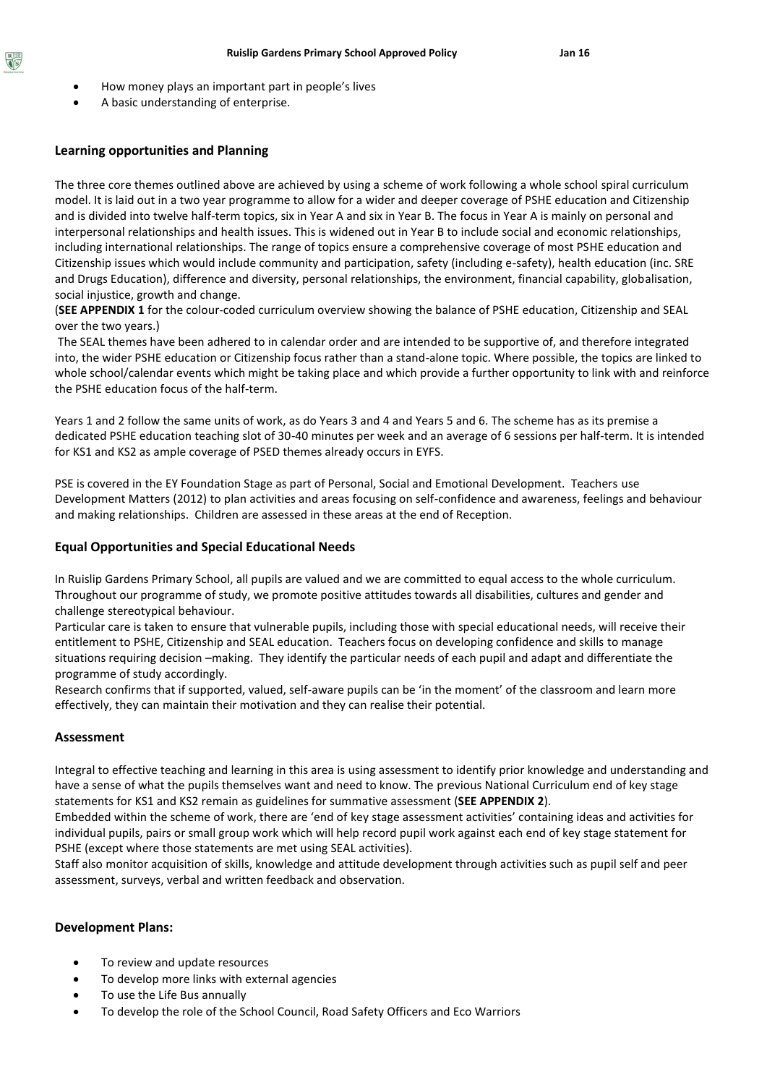- How money plays an important part in people's lives
- A basic understanding of enterprise.

# **Learning opportunities and Planning**

The three core themes outlined above are achieved by using a scheme of work following a whole school spiral curriculum model. It is laid out in a two year programme to allow for a wider and deeper coverage of PSHE education and Citizenship and is divided into twelve half-term topics, six in Year A and six in Year B. The focus in Year A is mainly on personal and interpersonal relationships and health issues. This is widened out in Year B to include social and economic relationships, including international relationships. The range of topics ensure a comprehensive coverage of most PSHE education and Citizenship issues which would include community and participation, safety (including e-safety), health education (inc. SRE and Drugs Education), difference and diversity, personal relationships, the environment, financial capability, globalisation, social injustice, growth and change.

(**SEE APPENDIX 1** for the colour-coded curriculum overview showing the balance of PSHE education, Citizenship and SEAL over the two years.)

The SEAL themes have been adhered to in calendar order and are intended to be supportive of, and therefore integrated into, the wider PSHE education or Citizenship focus rather than a stand-alone topic. Where possible, the topics are linked to whole school/calendar events which might be taking place and which provide a further opportunity to link with and reinforce the PSHE education focus of the half-term.

Years 1 and 2 follow the same units of work, as do Years 3 and 4 and Years 5 and 6. The scheme has as its premise a dedicated PSHE education teaching slot of 30-40 minutes per week and an average of 6 sessions per half-term. It is intended for KS1 and KS2 as ample coverage of PSED themes already occurs in EYFS.

PSE is covered in the EY Foundation Stage as part of Personal, Social and Emotional Development. Teachers use Development Matters (2012) to plan activities and areas focusing on self-confidence and awareness, feelings and behaviour and making relationships. Children are assessed in these areas at the end of Reception.

## **Equal Opportunities and Special Educational Needs**

In Ruislip Gardens Primary School, all pupils are valued and we are committed to equal access to the whole curriculum. Throughout our programme of study, we promote positive attitudes towards all disabilities, cultures and gender and challenge stereotypical behaviour.

Particular care is taken to ensure that vulnerable pupils, including those with special educational needs, will receive their entitlement to PSHE, Citizenship and SEAL education. Teachers focus on developing confidence and skills to manage situations requiring decision –making. They identify the particular needs of each pupil and adapt and differentiate the programme of study accordingly.

Research confirms that if supported, valued, self-aware pupils can be 'in the moment' of the classroom and learn more effectively, they can maintain their motivation and they can realise their potential.

### **Assessment**

Integral to effective teaching and learning in this area is using assessment to identify prior knowledge and understanding and have a sense of what the pupils themselves want and need to know. The previous National Curriculum end of key stage statements for KS1 and KS2 remain as guidelines for summative assessment (**SEE APPENDIX 2**).

Embedded within the scheme of work, there are 'end of key stage assessment activities' containing ideas and activities for individual pupils, pairs or small group work which will help record pupil work against each end of key stage statement for PSHE (except where those statements are met using SEAL activities).

Staff also monitor acquisition of skills, knowledge and attitude development through activities such as pupil self and peer assessment, surveys, verbal and written feedback and observation.

### **Development Plans:**

- To review and update resources
- To develop more links with external agencies
- To use the Life Bus annually
- To develop the role of the School Council, Road Safety Officers and Eco Warriors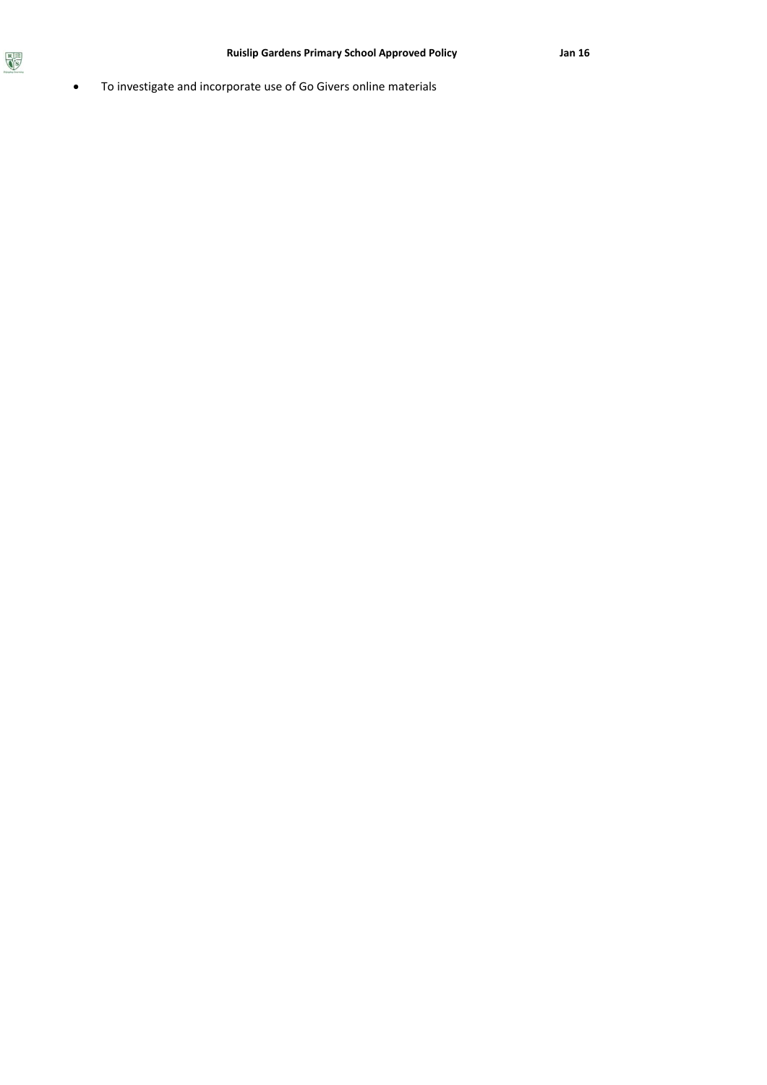To investigate and incorporate use of Go Givers online materials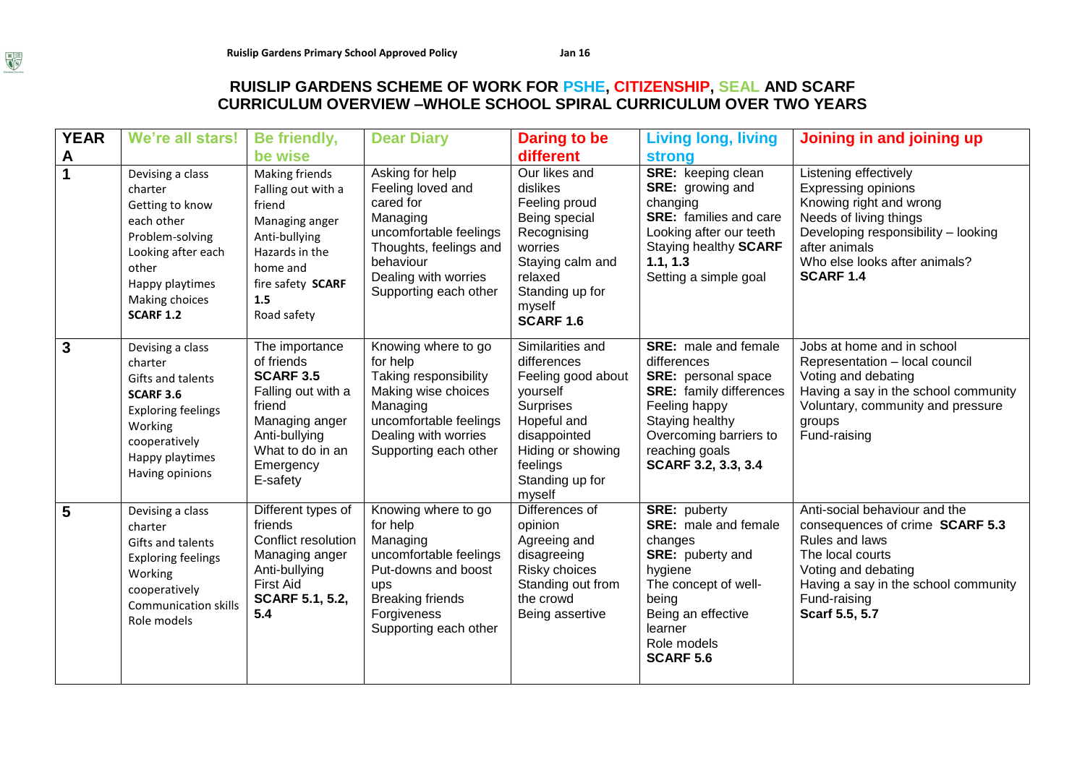# **RUISLIP GARDENS SCHEME OF WORK FOR PSHE, CITIZENSHIP, SEAL AND SCARF CURRICULUM OVERVIEW –WHOLE SCHOOL SPIRAL CURRICULUM OVER TWO YEARS**

| <b>YEAR</b>         | We're all stars!                                                                                                                                                        | Be friendly,<br>be wise                                                                                                                                          | <b>Dear Diary</b>                                                                                                                                                               | Daring to be<br>different                                                                                                                                                   | <b>Living long, living</b>                                                                                                                                                                                         | Joining in and joining up                                                                                                                                                                                             |
|---------------------|-------------------------------------------------------------------------------------------------------------------------------------------------------------------------|------------------------------------------------------------------------------------------------------------------------------------------------------------------|---------------------------------------------------------------------------------------------------------------------------------------------------------------------------------|-----------------------------------------------------------------------------------------------------------------------------------------------------------------------------|--------------------------------------------------------------------------------------------------------------------------------------------------------------------------------------------------------------------|-----------------------------------------------------------------------------------------------------------------------------------------------------------------------------------------------------------------------|
| A<br>$\overline{1}$ | Devising a class<br>charter<br>Getting to know<br>each other<br>Problem-solving<br>Looking after each<br>other<br>Happy playtimes<br>Making choices<br><b>SCARF 1.2</b> | Making friends<br>Falling out with a<br>friend<br>Managing anger<br>Anti-bullying<br>Hazards in the<br>home and<br>fire safety SCARF<br>1.5<br>Road safety       | Asking for help<br>Feeling loved and<br>cared for<br>Managing<br>uncomfortable feelings<br>Thoughts, feelings and<br>behaviour<br>Dealing with worries<br>Supporting each other | Our likes and<br>dislikes<br>Feeling proud<br>Being special<br>Recognising<br>worries<br>Staying calm and<br>relaxed<br>Standing up for<br>myself<br><b>SCARF 1.6</b>       | <b>strong</b><br><b>SRE:</b> keeping clean<br><b>SRE:</b> growing and<br>changing<br><b>SRE:</b> families and care<br>Looking after our teeth<br>Staying healthy <b>SCARF</b><br>1.1, 1.3<br>Setting a simple goal | Listening effectively<br><b>Expressing opinions</b><br>Knowing right and wrong<br>Needs of living things<br>Developing responsibility - looking<br>after animals<br>Who else looks after animals?<br><b>SCARF 1.4</b> |
| $\mathbf{3}$        | Devising a class<br>charter<br>Gifts and talents<br><b>SCARF 3.6</b><br><b>Exploring feelings</b><br>Working<br>cooperatively<br>Happy playtimes<br>Having opinions     | The importance<br>of friends<br><b>SCARF 3.5</b><br>Falling out with a<br>friend<br>Managing anger<br>Anti-bullying<br>What to do in an<br>Emergency<br>E-safety | Knowing where to go<br>for help<br>Taking responsibility<br>Making wise choices<br>Managing<br>uncomfortable feelings<br>Dealing with worries<br>Supporting each other          | Similarities and<br>differences<br>Feeling good about<br>yourself<br>Surprises<br>Hopeful and<br>disappointed<br>Hiding or showing<br>feelings<br>Standing up for<br>myself | <b>SRE:</b> male and female<br>differences<br><b>SRE:</b> personal space<br><b>SRE:</b> family differences<br>Feeling happy<br>Staying healthy<br>Overcoming barriers to<br>reaching goals<br>SCARF 3.2, 3.3, 3.4  | Jobs at home and in school<br>Representation - local council<br>Voting and debating<br>Having a say in the school community<br>Voluntary, community and pressure<br>groups<br>Fund-raising                            |
| 5                   | Devising a class<br>charter<br>Gifts and talents<br><b>Exploring feelings</b><br>Working<br>cooperatively<br><b>Communication skills</b><br>Role models                 | Different types of<br>friends<br>Conflict resolution<br>Managing anger<br>Anti-bullying<br><b>First Aid</b><br><b>SCARF 5.1, 5.2,</b><br>5.4                     | Knowing where to go<br>for help<br>Managing<br>uncomfortable feelings<br>Put-downs and boost<br>ups<br><b>Breaking friends</b><br>Forgiveness<br>Supporting each other          | Differences of<br>opinion<br>Agreeing and<br>disagreeing<br>Risky choices<br>Standing out from<br>the crowd<br>Being assertive                                              | <b>SRE: puberty</b><br><b>SRE:</b> male and female<br>changes<br>SRE: puberty and<br>hygiene<br>The concept of well-<br>being<br>Being an effective<br>learner<br>Role models<br><b>SCARF 5.6</b>                  | Anti-social behaviour and the<br>consequences of crime SCARF 5.3<br>Rules and laws<br>The local courts<br>Voting and debating<br>Having a say in the school community<br>Fund-raising<br>Scarf 5.5, 5.7               |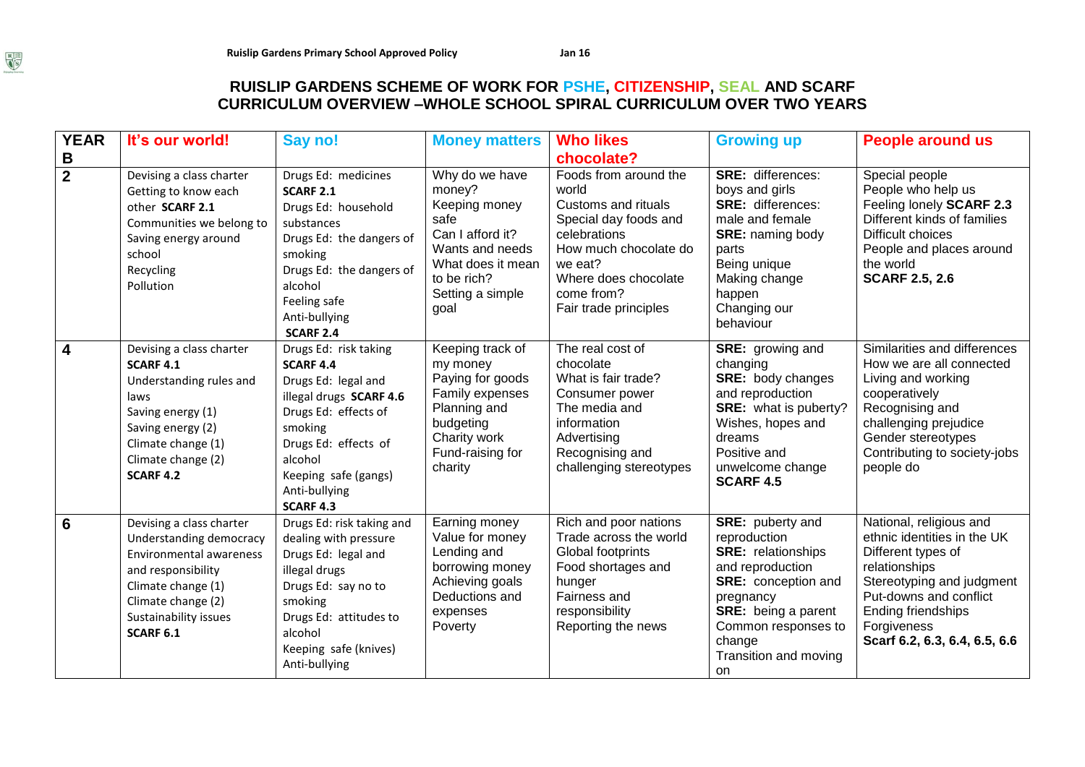# **RUISLIP GARDENS SCHEME OF WORK FOR PSHE, CITIZENSHIP, SEAL AND SCARF CURRICULUM OVERVIEW –WHOLE SCHOOL SPIRAL CURRICULUM OVER TWO YEARS**

| <b>YEAR</b>         | It's our world!                                                                                                                                                                                      | Say no!                                                                                                                                                                                                                        | <b>Money matters</b>                                                                                                                                     | <b>Who likes</b>                                                                                                                                                                                                | <b>Growing up</b>                                                                                                                                                                                                          | <b>People around us</b>                                                                                                                                                                                                    |
|---------------------|------------------------------------------------------------------------------------------------------------------------------------------------------------------------------------------------------|--------------------------------------------------------------------------------------------------------------------------------------------------------------------------------------------------------------------------------|----------------------------------------------------------------------------------------------------------------------------------------------------------|-----------------------------------------------------------------------------------------------------------------------------------------------------------------------------------------------------------------|----------------------------------------------------------------------------------------------------------------------------------------------------------------------------------------------------------------------------|----------------------------------------------------------------------------------------------------------------------------------------------------------------------------------------------------------------------------|
| B<br>$\overline{2}$ | Devising a class charter<br>Getting to know each<br>other SCARF 2.1<br>Communities we belong to<br>Saving energy around<br>school<br>Recycling<br>Pollution                                          | Drugs Ed: medicines<br><b>SCARF 2.1</b><br>Drugs Ed: household<br>substances<br>Drugs Ed: the dangers of<br>smoking<br>Drugs Ed: the dangers of<br>alcohol<br>Feeling safe<br>Anti-bullying<br><b>SCARF 2.4</b>                | Why do we have<br>money?<br>Keeping money<br>safe<br>Can I afford it?<br>Wants and needs<br>What does it mean<br>to be rich?<br>Setting a simple<br>goal | chocolate?<br>Foods from around the<br>world<br>Customs and rituals<br>Special day foods and<br>celebrations<br>How much chocolate do<br>we eat?<br>Where does chocolate<br>come from?<br>Fair trade principles | <b>SRE: differences:</b><br>boys and girls<br><b>SRE: differences:</b><br>male and female<br><b>SRE: naming body</b><br>parts<br>Being unique<br>Making change<br>happen<br>Changing our<br>behaviour                      | Special people<br>People who help us<br>Feeling lonely SCARF 2.3<br>Different kinds of families<br>Difficult choices<br>People and places around<br>the world<br><b>SCARF 2.5, 2.6</b>                                     |
| $\overline{4}$      | Devising a class charter<br><b>SCARF 4.1</b><br>Understanding rules and<br>laws<br>Saving energy (1)<br>Saving energy (2)<br>Climate change (1)<br>Climate change (2)<br><b>SCARF 4.2</b>            | Drugs Ed: risk taking<br><b>SCARF 4.4</b><br>Drugs Ed: legal and<br>illegal drugs SCARF 4.6<br>Drugs Ed: effects of<br>smoking<br>Drugs Ed: effects of<br>alcohol<br>Keeping safe (gangs)<br>Anti-bullying<br><b>SCARF 4.3</b> | Keeping track of<br>my money<br>Paying for goods<br>Family expenses<br>Planning and<br>budgeting<br>Charity work<br>Fund-raising for<br>charity          | The real cost of<br>chocolate<br>What is fair trade?<br>Consumer power<br>The media and<br>information<br>Advertising<br>Recognising and<br>challenging stereotypes                                             | <b>SRE:</b> growing and<br>changing<br><b>SRE:</b> body changes<br>and reproduction<br>SRE: what is puberty?<br>Wishes, hopes and<br>dreams<br>Positive and<br>unwelcome change<br><b>SCARF 4.5</b>                        | Similarities and differences<br>How we are all connected<br>Living and working<br>cooperatively<br>Recognising and<br>challenging prejudice<br>Gender stereotypes<br>Contributing to society-jobs<br>people do             |
| $6\phantom{1}6$     | Devising a class charter<br>Understanding democracy<br><b>Environmental awareness</b><br>and responsibility<br>Climate change (1)<br>Climate change (2)<br>Sustainability issues<br><b>SCARF 6.1</b> | Drugs Ed: risk taking and<br>dealing with pressure<br>Drugs Ed: legal and<br>illegal drugs<br>Drugs Ed: say no to<br>smoking<br>Drugs Ed: attitudes to<br>alcohol<br>Keeping safe (knives)<br>Anti-bullying                    | Earning money<br>Value for money<br>Lending and<br>borrowing money<br>Achieving goals<br>Deductions and<br>expenses<br>Poverty                           | Rich and poor nations<br>Trade across the world<br>Global footprints<br>Food shortages and<br>hunger<br>Fairness and<br>responsibility<br>Reporting the news                                                    | SRE: puberty and<br>reproduction<br><b>SRE:</b> relationships<br>and reproduction<br><b>SRE:</b> conception and<br>pregnancy<br><b>SRE:</b> being a parent<br>Common responses to<br>change<br>Transition and moving<br>on | National, religious and<br>ethnic identities in the UK<br>Different types of<br>relationships<br>Stereotyping and judgment<br>Put-downs and conflict<br>Ending friendships<br>Forgiveness<br>Scarf 6.2, 6.3, 6.4, 6.5, 6.6 |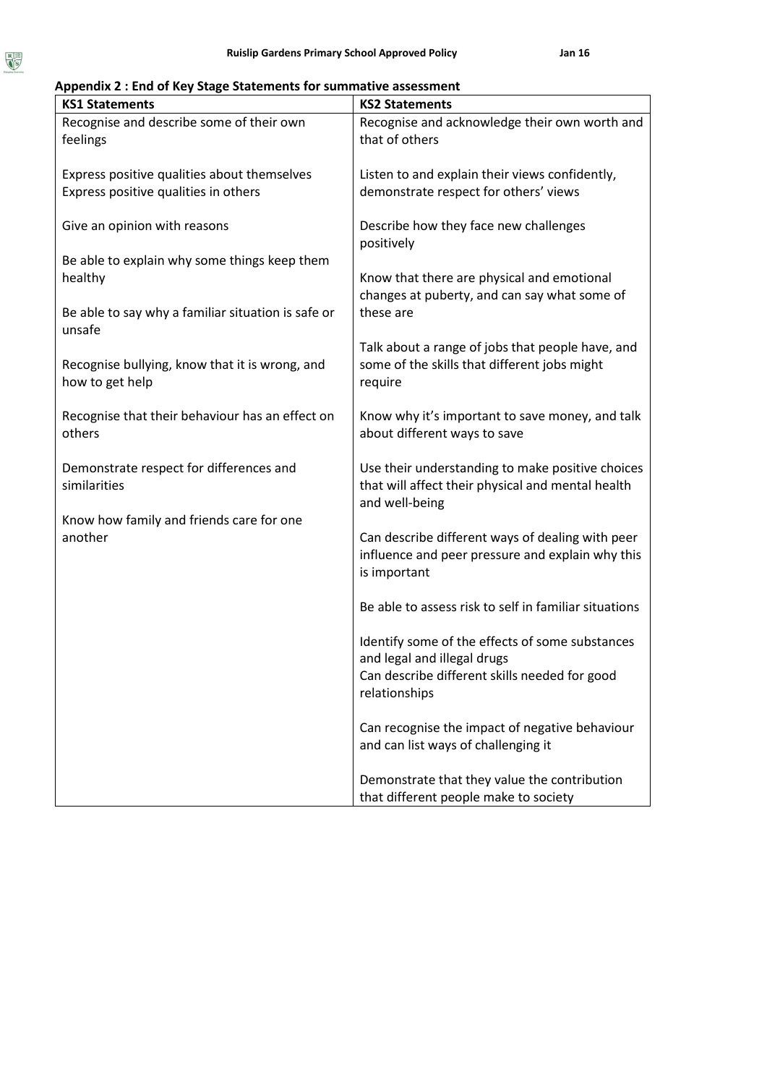# **Appendix 2 : End of Key Stage Statements for summative assessment**

| <b>KS1 Statements</b>                                             | <b>KS2 Statements</b>                                                          |
|-------------------------------------------------------------------|--------------------------------------------------------------------------------|
| Recognise and describe some of their own<br>feelings              | Recognise and acknowledge their own worth and<br>that of others                |
| Express positive qualities about themselves                       | Listen to and explain their views confidently,                                 |
| Express positive qualities in others                              | demonstrate respect for others' views                                          |
| Give an opinion with reasons                                      | Describe how they face new challenges<br>positively                            |
| Be able to explain why some things keep them                      |                                                                                |
| healthy                                                           | Know that there are physical and emotional                                     |
|                                                                   | changes at puberty, and can say what some of                                   |
| Be able to say why a familiar situation is safe or<br>unsafe      | these are                                                                      |
|                                                                   | Talk about a range of jobs that people have, and                               |
| Recognise bullying, know that it is wrong, and<br>how to get help | some of the skills that different jobs might                                   |
|                                                                   | require                                                                        |
| Recognise that their behaviour has an effect on                   | Know why it's important to save money, and talk                                |
| others                                                            | about different ways to save                                                   |
| Demonstrate respect for differences and                           | Use their understanding to make positive choices                               |
| similarities                                                      | that will affect their physical and mental health                              |
|                                                                   | and well-being                                                                 |
| Know how family and friends care for one<br>another               | Can describe different ways of dealing with peer                               |
|                                                                   | influence and peer pressure and explain why this                               |
|                                                                   | is important                                                                   |
|                                                                   | Be able to assess risk to self in familiar situations                          |
|                                                                   |                                                                                |
|                                                                   | Identify some of the effects of some substances<br>and legal and illegal drugs |
|                                                                   | Can describe different skills needed for good                                  |
|                                                                   | relationships                                                                  |
|                                                                   | Can recognise the impact of negative behaviour                                 |
|                                                                   | and can list ways of challenging it                                            |
|                                                                   | Demonstrate that they value the contribution                                   |
|                                                                   | that different people make to society                                          |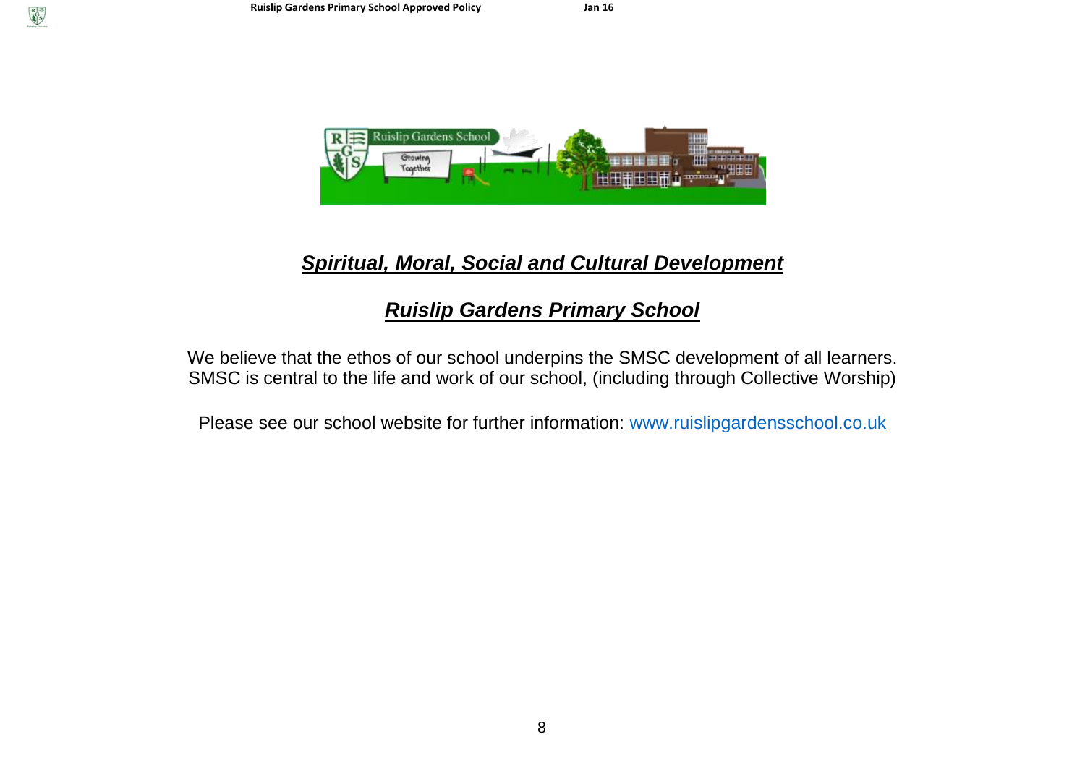

# *Spiritual, Moral, Social and Cultural Development*

# *Ruislip Gardens Primary School*

We believe that the ethos of our school underpins the SMSC development of all learners. SMSC is central to the life and work of our school, (including through Collective Worship)

Please see our school website for further information: [www.ruislipgardensschool.co.uk](http://www.ruislipgardensschool.co.uk/)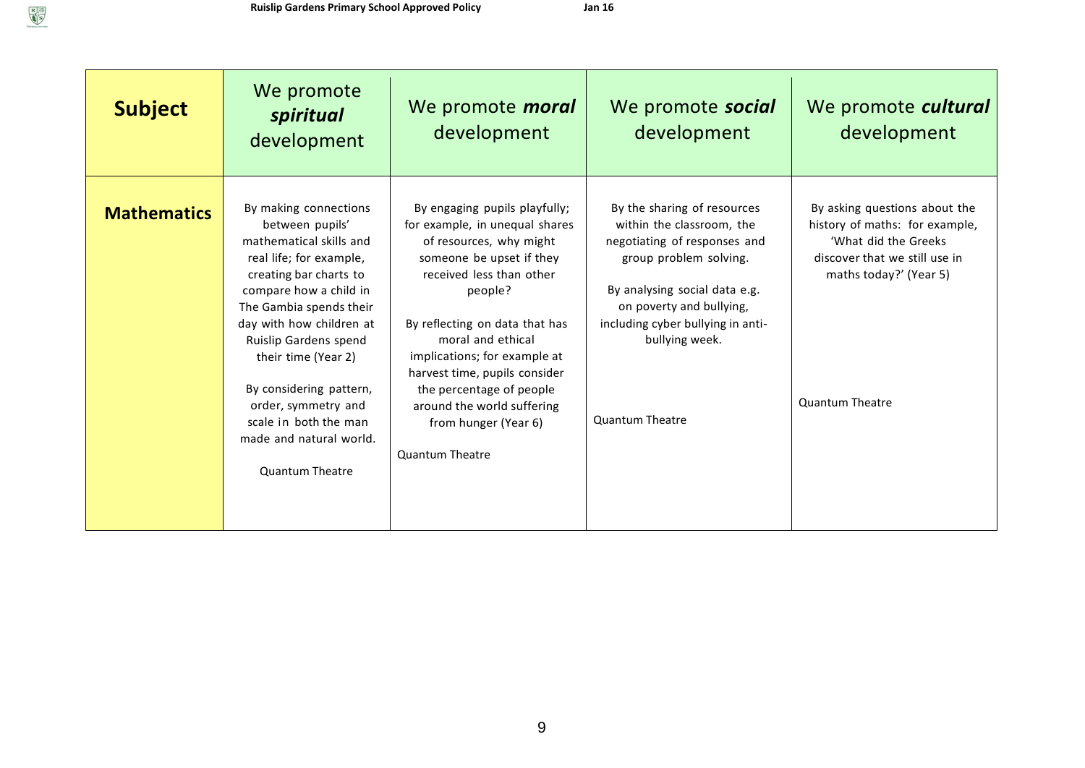| <b>Subject</b>     | We promote<br>spiritual<br>development                                                                                                                                                                                                                                                                                                                                                           | We promote <i>moral</i><br>development                                                                                                                                                                                                                                                                                                                                                            | We promote social<br>development                                                                                                                                                                                                                                 | We promote cultural<br>development                                                                                                                                           |
|--------------------|--------------------------------------------------------------------------------------------------------------------------------------------------------------------------------------------------------------------------------------------------------------------------------------------------------------------------------------------------------------------------------------------------|---------------------------------------------------------------------------------------------------------------------------------------------------------------------------------------------------------------------------------------------------------------------------------------------------------------------------------------------------------------------------------------------------|------------------------------------------------------------------------------------------------------------------------------------------------------------------------------------------------------------------------------------------------------------------|------------------------------------------------------------------------------------------------------------------------------------------------------------------------------|
| <b>Mathematics</b> | By making connections<br>between pupils'<br>mathematical skills and<br>real life; for example,<br>creating bar charts to<br>compare how a child in<br>The Gambia spends their<br>day with how children at<br><b>Ruislip Gardens spend</b><br>their time (Year 2)<br>By considering pattern,<br>order, symmetry and<br>scale in both the man<br>made and natural world.<br><b>Quantum Theatre</b> | By engaging pupils playfully;<br>for example, in unequal shares<br>of resources, why might<br>someone be upset if they<br>received less than other<br>people?<br>By reflecting on data that has<br>moral and ethical<br>implications; for example at<br>harvest time, pupils consider<br>the percentage of people<br>around the world suffering<br>from hunger (Year 6)<br><b>Quantum Theatre</b> | By the sharing of resources<br>within the classroom, the<br>negotiating of responses and<br>group problem solving.<br>By analysing social data e.g.<br>on poverty and bullying,<br>including cyber bullying in anti-<br>bullying week.<br><b>Quantum Theatre</b> | By asking questions about the<br>history of maths: for example,<br>'What did the Greeks<br>discover that we still use in<br>maths today?' (Year 5)<br><b>Quantum Theatre</b> |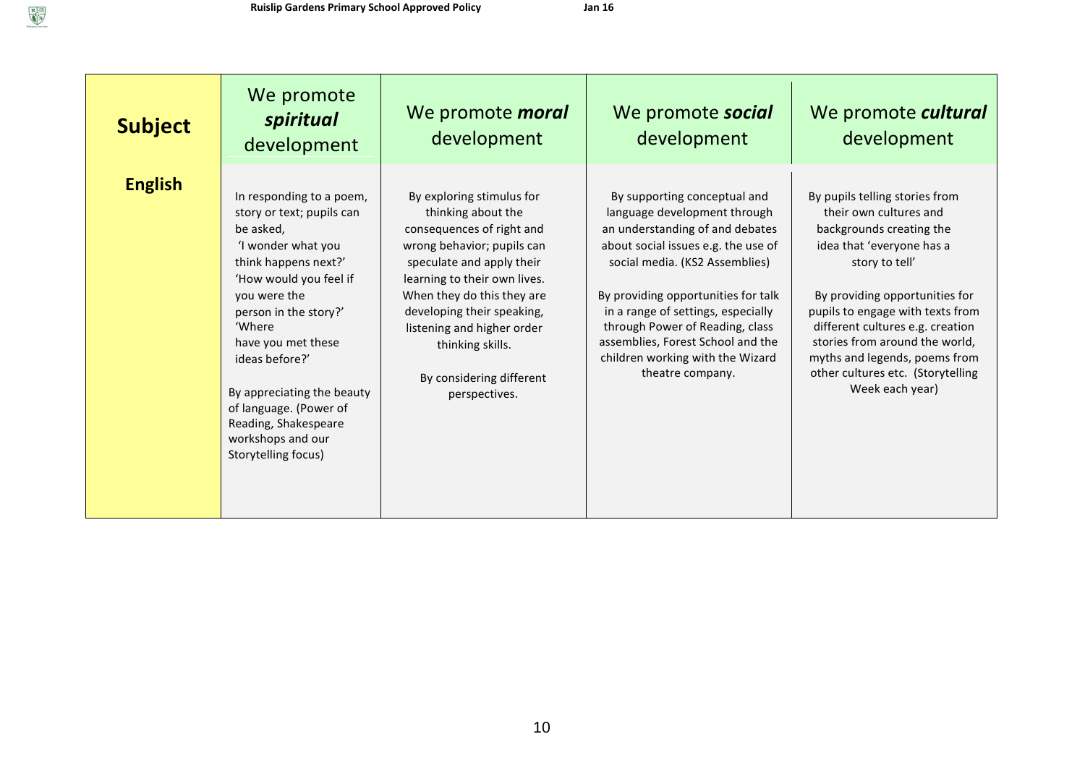| <b>Subject</b> | We promote<br>spiritual<br>development                                                                                                                                                                                                                                                                                                                            | We promote <i>moral</i><br>development                                                                                                                                                                                                                                                                                             | We promote <b>social</b><br>development                                                                                                                                                                                                                                                                                                                                               | We promote cultural<br>development                                                                                                                                                                                                                                                                                                                                       |
|----------------|-------------------------------------------------------------------------------------------------------------------------------------------------------------------------------------------------------------------------------------------------------------------------------------------------------------------------------------------------------------------|------------------------------------------------------------------------------------------------------------------------------------------------------------------------------------------------------------------------------------------------------------------------------------------------------------------------------------|---------------------------------------------------------------------------------------------------------------------------------------------------------------------------------------------------------------------------------------------------------------------------------------------------------------------------------------------------------------------------------------|--------------------------------------------------------------------------------------------------------------------------------------------------------------------------------------------------------------------------------------------------------------------------------------------------------------------------------------------------------------------------|
| <b>English</b> | In responding to a poem,<br>story or text; pupils can<br>be asked,<br>'I wonder what you<br>think happens next?'<br>'How would you feel if<br>you were the<br>person in the story?'<br>'Where<br>have you met these<br>ideas before?'<br>By appreciating the beauty<br>of language. (Power of<br>Reading, Shakespeare<br>workshops and our<br>Storytelling focus) | By exploring stimulus for<br>thinking about the<br>consequences of right and<br>wrong behavior; pupils can<br>speculate and apply their<br>learning to their own lives.<br>When they do this they are<br>developing their speaking,<br>listening and higher order<br>thinking skills.<br>By considering different<br>perspectives. | By supporting conceptual and<br>language development through<br>an understanding of and debates<br>about social issues e.g. the use of<br>social media. (KS2 Assemblies)<br>By providing opportunities for talk<br>in a range of settings, especially<br>through Power of Reading, class<br>assemblies, Forest School and the<br>children working with the Wizard<br>theatre company. | By pupils telling stories from<br>their own cultures and<br>backgrounds creating the<br>idea that 'everyone has a<br>story to tell'<br>By providing opportunities for<br>pupils to engage with texts from<br>different cultures e.g. creation<br>stories from around the world,<br>myths and legends, poems from<br>other cultures etc. (Storytelling<br>Week each year) |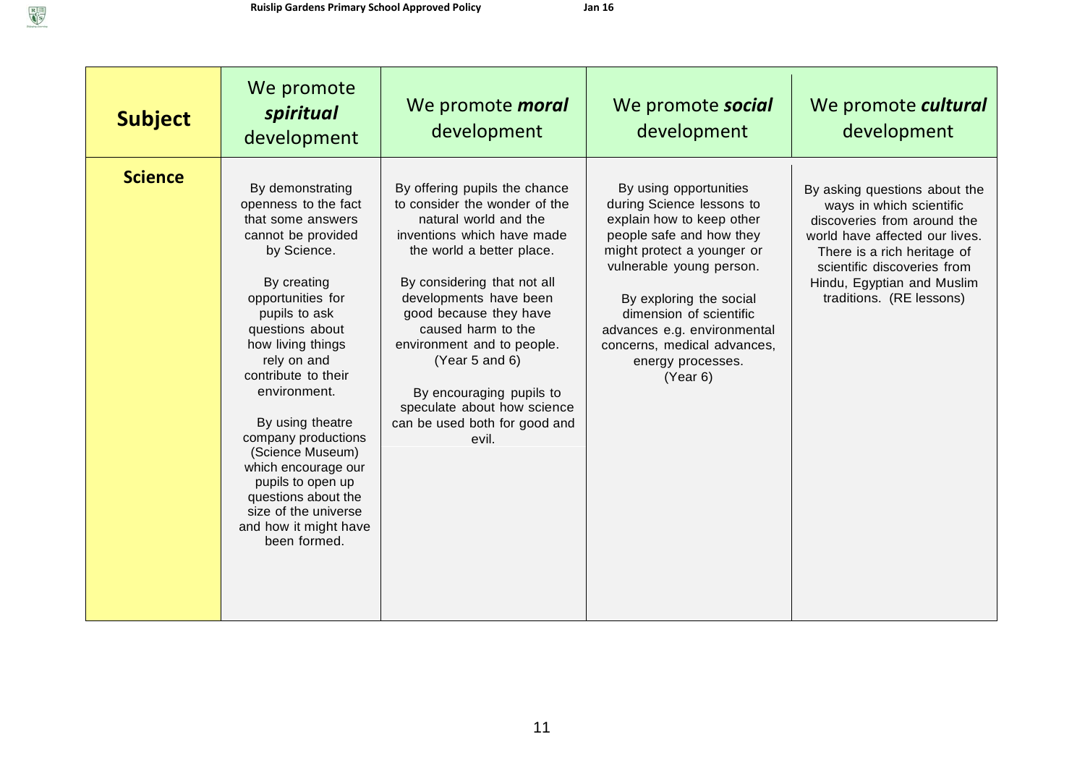| <b>Subject</b> | We promote<br>spiritual<br>development                                                                                                                                                                                                                                                                                                                                                                                                                   | We promote <i>moral</i><br>development                                                                                                                                                                                                                                                                                                                                                                           | We promote social<br>development                                                                                                                                                                                                                                                                                            | We promote cultural<br>development                                                                                                                                                                                                                 |
|----------------|----------------------------------------------------------------------------------------------------------------------------------------------------------------------------------------------------------------------------------------------------------------------------------------------------------------------------------------------------------------------------------------------------------------------------------------------------------|------------------------------------------------------------------------------------------------------------------------------------------------------------------------------------------------------------------------------------------------------------------------------------------------------------------------------------------------------------------------------------------------------------------|-----------------------------------------------------------------------------------------------------------------------------------------------------------------------------------------------------------------------------------------------------------------------------------------------------------------------------|----------------------------------------------------------------------------------------------------------------------------------------------------------------------------------------------------------------------------------------------------|
| <b>Science</b> | By demonstrating<br>openness to the fact<br>that some answers<br>cannot be provided<br>by Science.<br>By creating<br>opportunities for<br>pupils to ask<br>questions about<br>how living things<br>rely on and<br>contribute to their<br>environment.<br>By using theatre<br>company productions<br>(Science Museum)<br>which encourage our<br>pupils to open up<br>questions about the<br>size of the universe<br>and how it might have<br>been formed. | By offering pupils the chance<br>to consider the wonder of the<br>natural world and the<br>inventions which have made<br>the world a better place.<br>By considering that not all<br>developments have been<br>good because they have<br>caused harm to the<br>environment and to people.<br>(Year 5 and 6)<br>By encouraging pupils to<br>speculate about how science<br>can be used both for good and<br>evil. | By using opportunities<br>during Science lessons to<br>explain how to keep other<br>people safe and how they<br>might protect a younger or<br>vulnerable young person.<br>By exploring the social<br>dimension of scientific<br>advances e.g. environmental<br>concerns, medical advances,<br>energy processes.<br>(Year 6) | By asking questions about the<br>ways in which scientific<br>discoveries from around the<br>world have affected our lives.<br>There is a rich heritage of<br>scientific discoveries from<br>Hindu, Egyptian and Muslim<br>traditions. (RE lessons) |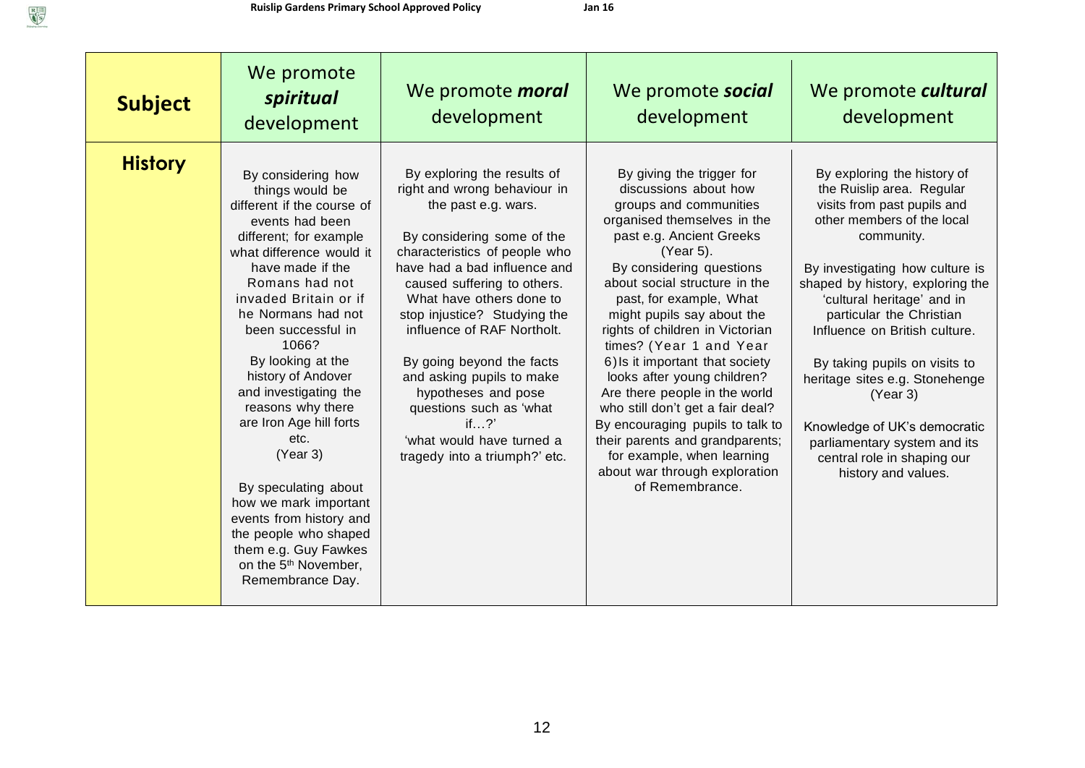$\begin{tabular}{|c|c|} \hline R & \multicolumn{3}{|c|}{\hline R} \\ \hline $G$ \\ \hline $G$ \\ \hline $G$ \\ \hline \end{tabular}$ 

| <b>Subject</b> | We promote<br>spiritual<br>development                                                                                                                                                                                                                                                                                                                                                                                                                                                                                                                                                        | We promote <i>moral</i><br>development                                                                                                                                                                                                                                                                                                                                                                                                                                                      | We promote social<br>development                                                                                                                                                                                                                                                                                                                                                                                                                                                                                                                                                                                                         | We promote cultural<br>development                                                                                                                                                                                                                                                                                                                                                                                                                                                                         |
|----------------|-----------------------------------------------------------------------------------------------------------------------------------------------------------------------------------------------------------------------------------------------------------------------------------------------------------------------------------------------------------------------------------------------------------------------------------------------------------------------------------------------------------------------------------------------------------------------------------------------|---------------------------------------------------------------------------------------------------------------------------------------------------------------------------------------------------------------------------------------------------------------------------------------------------------------------------------------------------------------------------------------------------------------------------------------------------------------------------------------------|------------------------------------------------------------------------------------------------------------------------------------------------------------------------------------------------------------------------------------------------------------------------------------------------------------------------------------------------------------------------------------------------------------------------------------------------------------------------------------------------------------------------------------------------------------------------------------------------------------------------------------------|------------------------------------------------------------------------------------------------------------------------------------------------------------------------------------------------------------------------------------------------------------------------------------------------------------------------------------------------------------------------------------------------------------------------------------------------------------------------------------------------------------|
| <b>History</b> | By considering how<br>things would be<br>different if the course of<br>events had been<br>different; for example<br>what difference would it<br>have made if the<br>Romans had not<br>invaded Britain or if<br>he Normans had not<br>been successful in<br>1066?<br>By looking at the<br>history of Andover<br>and investigating the<br>reasons why there<br>are Iron Age hill forts<br>etc.<br>(Year 3)<br>By speculating about<br>how we mark important<br>events from history and<br>the people who shaped<br>them e.g. Guy Fawkes<br>on the 5 <sup>th</sup> November,<br>Remembrance Day. | By exploring the results of<br>right and wrong behaviour in<br>the past e.g. wars.<br>By considering some of the<br>characteristics of people who<br>have had a bad influence and<br>caused suffering to others.<br>What have others done to<br>stop injustice? Studying the<br>influence of RAF Northolt.<br>By going beyond the facts<br>and asking pupils to make<br>hypotheses and pose<br>questions such as 'what<br>if?<br>'what would have turned a<br>tragedy into a triumph?' etc. | By giving the trigger for<br>discussions about how<br>groups and communities<br>organised themselves in the<br>past e.g. Ancient Greeks<br>(Year 5).<br>By considering questions<br>about social structure in the<br>past, for example, What<br>might pupils say about the<br>rights of children in Victorian<br>times? (Year 1 and Year<br>6) Is it important that society<br>looks after young children?<br>Are there people in the world<br>who still don't get a fair deal?<br>By encouraging pupils to talk to<br>their parents and grandparents;<br>for example, when learning<br>about war through exploration<br>of Remembrance. | By exploring the history of<br>the Ruislip area. Regular<br>visits from past pupils and<br>other members of the local<br>community.<br>By investigating how culture is<br>shaped by history, exploring the<br>'cultural heritage' and in<br>particular the Christian<br>Influence on British culture.<br>By taking pupils on visits to<br>heritage sites e.g. Stonehenge<br>(Year 3)<br>Knowledge of UK's democratic<br>parliamentary system and its<br>central role in shaping our<br>history and values. |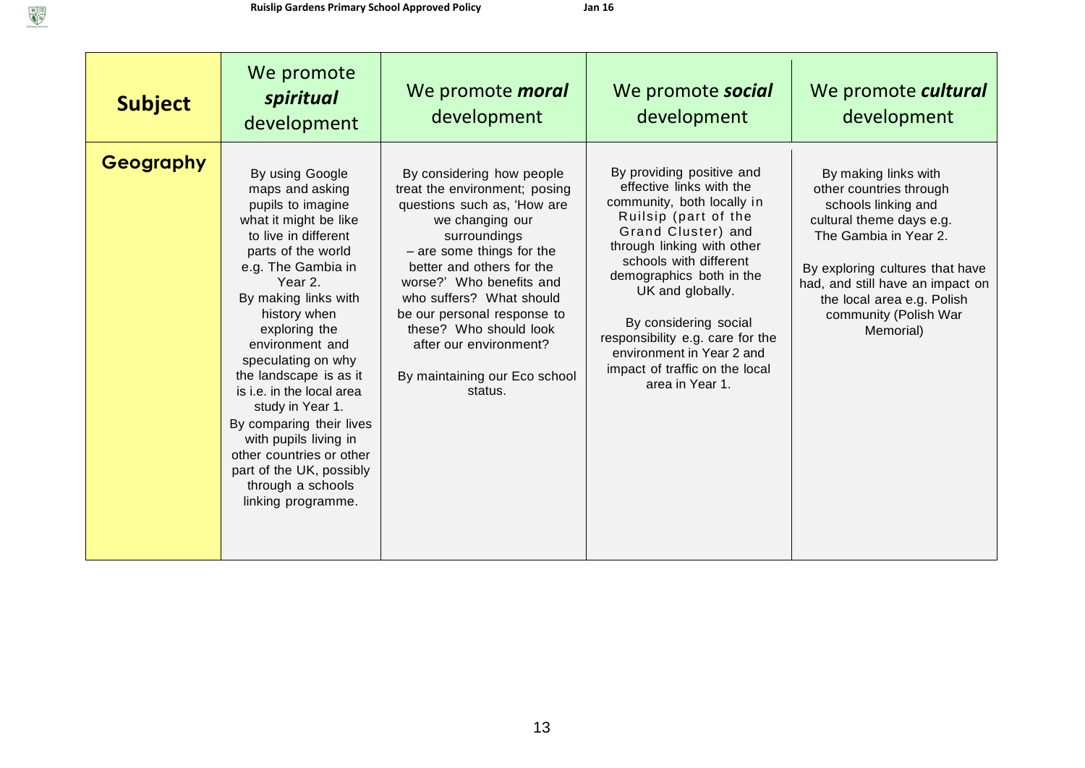| <b>Subject</b> | We promote<br>spiritual<br>development                                                                                                                                                                                                                                                                                                                                                                                                                                                               | We promote <i>moral</i><br>development                                                                                                                                                                                                                                                                                                                                        | We promote <b>social</b><br>development                                                                                                                                                                                                                                                                                                                                                  | We promote <i>cultural</i><br>development                                                                                                                                                                                                                              |
|----------------|------------------------------------------------------------------------------------------------------------------------------------------------------------------------------------------------------------------------------------------------------------------------------------------------------------------------------------------------------------------------------------------------------------------------------------------------------------------------------------------------------|-------------------------------------------------------------------------------------------------------------------------------------------------------------------------------------------------------------------------------------------------------------------------------------------------------------------------------------------------------------------------------|------------------------------------------------------------------------------------------------------------------------------------------------------------------------------------------------------------------------------------------------------------------------------------------------------------------------------------------------------------------------------------------|------------------------------------------------------------------------------------------------------------------------------------------------------------------------------------------------------------------------------------------------------------------------|
| Geography      | By using Google<br>maps and asking<br>pupils to imagine<br>what it might be like<br>to live in different<br>parts of the world<br>e.g. The Gambia in<br>Year 2.<br>By making links with<br>history when<br>exploring the<br>environment and<br>speculating on why<br>the landscape is as it<br>is i.e. in the local area<br>study in Year 1.<br>By comparing their lives<br>with pupils living in<br>other countries or other<br>part of the UK, possibly<br>through a schools<br>linking programme. | By considering how people<br>treat the environment; posing<br>questions such as, 'How are<br>we changing our<br>surroundings<br>- are some things for the<br>better and others for the<br>worse?' Who benefits and<br>who suffers? What should<br>be our personal response to<br>these? Who should look<br>after our environment?<br>By maintaining our Eco school<br>status. | By providing positive and<br>effective links with the<br>community, both locally in<br>Ruilsip (part of the<br>Grand Cluster) and<br>through linking with other<br>schools with different<br>demographics both in the<br>UK and globally.<br>By considering social<br>responsibility e.g. care for the<br>environment in Year 2 and<br>impact of traffic on the local<br>area in Year 1. | By making links with<br>other countries through<br>schools linking and<br>cultural theme days e.g.<br>The Gambia in Year 2.<br>By exploring cultures that have<br>had, and still have an impact on<br>the local area e.g. Polish<br>community (Polish War<br>Memorial) |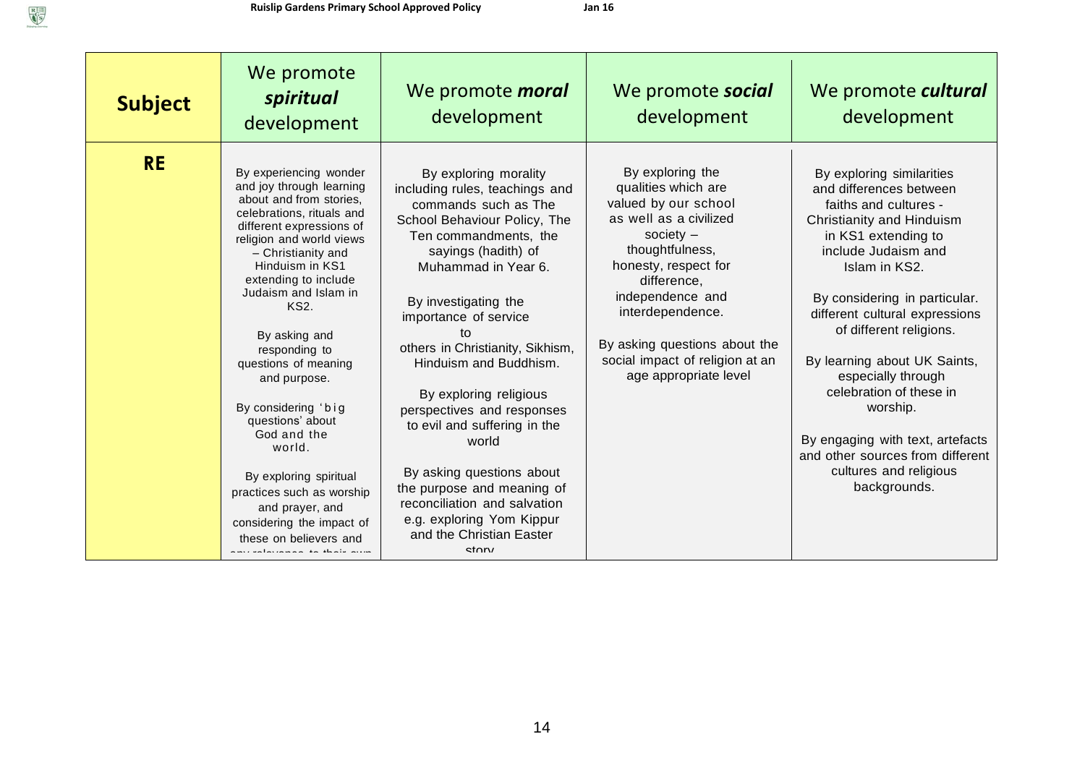$\begin{picture}(120,110) \put(0,0){\line(1,0){150}} \put(15,0){\line(1,0){150}} \put(15,0){\line(1,0){150}} \put(15,0){\line(1,0){150}} \put(15,0){\line(1,0){150}} \put(15,0){\line(1,0){150}} \put(15,0){\line(1,0){150}} \put(15,0){\line(1,0){150}} \put(15,0){\line(1,0){150}} \put(15,0){\line(1,0){150}} \put(15,0){\line(1,0){150$ 

| <b>Subject</b> | We promote<br>spiritual<br>development                                                                                                                                                                                                                                                                                                                                                                                                                                                                                                                                                                    | We promote <i>moral</i><br>development                                                                                                                                                                                                                                                                                                                                                                                                                                                                                                                                    | We promote social<br>development                                                                                                                                                                                                                                                                        | We promote cultural<br>development                                                                                                                                                                                                                                                                                                                                                                                                                                                     |
|----------------|-----------------------------------------------------------------------------------------------------------------------------------------------------------------------------------------------------------------------------------------------------------------------------------------------------------------------------------------------------------------------------------------------------------------------------------------------------------------------------------------------------------------------------------------------------------------------------------------------------------|---------------------------------------------------------------------------------------------------------------------------------------------------------------------------------------------------------------------------------------------------------------------------------------------------------------------------------------------------------------------------------------------------------------------------------------------------------------------------------------------------------------------------------------------------------------------------|---------------------------------------------------------------------------------------------------------------------------------------------------------------------------------------------------------------------------------------------------------------------------------------------------------|----------------------------------------------------------------------------------------------------------------------------------------------------------------------------------------------------------------------------------------------------------------------------------------------------------------------------------------------------------------------------------------------------------------------------------------------------------------------------------------|
| <b>RE</b>      | By experiencing wonder<br>and joy through learning<br>about and from stories,<br>celebrations, rituals and<br>different expressions of<br>religion and world views<br>- Christianity and<br>Hinduism in KS1<br>extending to include<br>Judaism and Islam in<br><b>KS2.</b><br>By asking and<br>responding to<br>questions of meaning<br>and purpose.<br>By considering 'big<br>questions' about<br>God and the<br>world.<br>By exploring spiritual<br>practices such as worship<br>and prayer, and<br>considering the impact of<br>these on believers and<br>فتنبيذ الملاحظة المفاريد والمستنبذ المستنبذة | By exploring morality<br>including rules, teachings and<br>commands such as The<br>School Behaviour Policy, The<br>Ten commandments, the<br>sayings (hadith) of<br>Muhammad in Year 6.<br>By investigating the<br>importance of service<br>to<br>others in Christianity, Sikhism,<br>Hinduism and Buddhism.<br>By exploring religious<br>perspectives and responses<br>to evil and suffering in the<br>world<br>By asking questions about<br>the purpose and meaning of<br>reconciliation and salvation<br>e.g. exploring Yom Kippur<br>and the Christian Easter<br>storv | By exploring the<br>qualities which are<br>valued by our school<br>as well as a civilized<br>society $-$<br>thoughtfulness,<br>honesty, respect for<br>difference,<br>independence and<br>interdependence.<br>By asking questions about the<br>social impact of religion at an<br>age appropriate level | By exploring similarities<br>and differences between<br>faiths and cultures -<br>Christianity and Hinduism<br>in KS1 extending to<br>include Judaism and<br>Islam in KS2.<br>By considering in particular.<br>different cultural expressions<br>of different religions.<br>By learning about UK Saints,<br>especially through<br>celebration of these in<br>worship.<br>By engaging with text, artefacts<br>and other sources from different<br>cultures and religious<br>backgrounds. |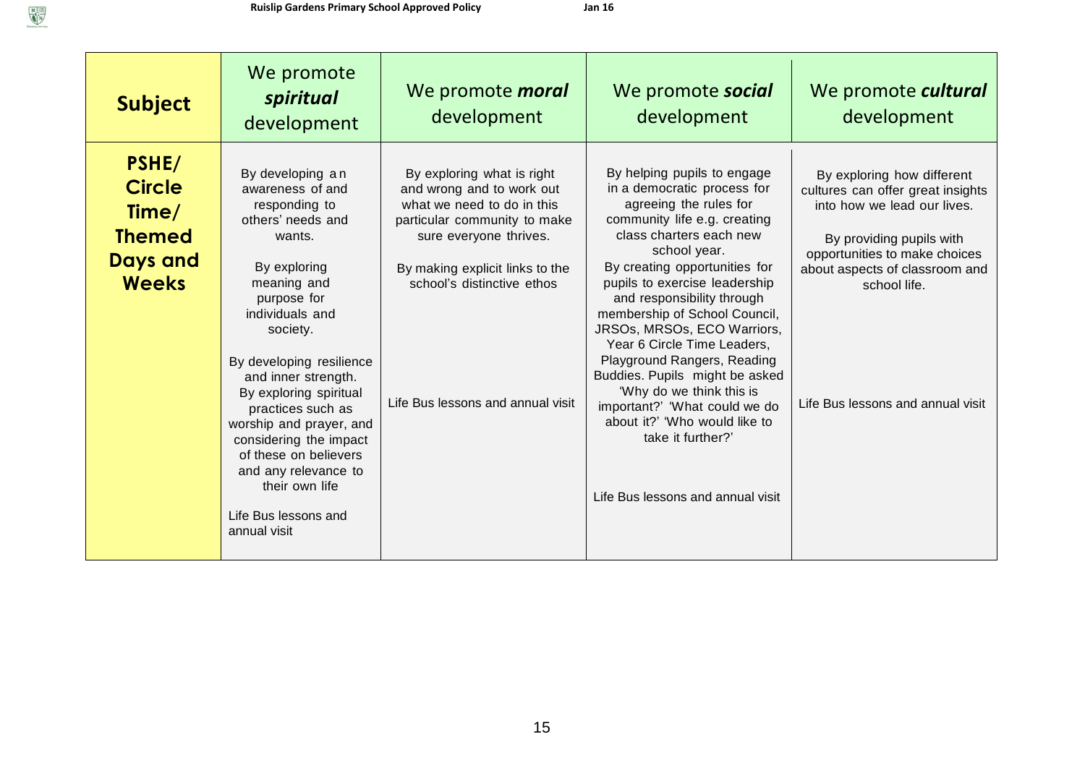| <b>Subject</b>                                                                      | We promote<br>spiritual<br>development                                                                                                                                                                                                                                                                                                                                                                                              | We promote <i>moral</i><br>development                                                                                                                                                                                                                | We promote social<br>development                                                                                                                                                                                                                                                                                                                                                                                                                                                                                                                                                        | We promote cultural<br>development                                                                                                                                                                                                                 |
|-------------------------------------------------------------------------------------|-------------------------------------------------------------------------------------------------------------------------------------------------------------------------------------------------------------------------------------------------------------------------------------------------------------------------------------------------------------------------------------------------------------------------------------|-------------------------------------------------------------------------------------------------------------------------------------------------------------------------------------------------------------------------------------------------------|-----------------------------------------------------------------------------------------------------------------------------------------------------------------------------------------------------------------------------------------------------------------------------------------------------------------------------------------------------------------------------------------------------------------------------------------------------------------------------------------------------------------------------------------------------------------------------------------|----------------------------------------------------------------------------------------------------------------------------------------------------------------------------------------------------------------------------------------------------|
| PSHE/<br><b>Circle</b><br>Time/<br><b>Themed</b><br><b>Days and</b><br><b>Weeks</b> | By developing an<br>awareness of and<br>responding to<br>others' needs and<br>wants.<br>By exploring<br>meaning and<br>purpose for<br>individuals and<br>society.<br>By developing resilience<br>and inner strength.<br>By exploring spiritual<br>practices such as<br>worship and prayer, and<br>considering the impact<br>of these on believers<br>and any relevance to<br>their own life<br>Life Bus lessons and<br>annual visit | By exploring what is right<br>and wrong and to work out<br>what we need to do in this<br>particular community to make<br>sure everyone thrives.<br>By making explicit links to the<br>school's distinctive ethos<br>Life Bus lessons and annual visit | By helping pupils to engage<br>in a democratic process for<br>agreeing the rules for<br>community life e.g. creating<br>class charters each new<br>school year.<br>By creating opportunities for<br>pupils to exercise leadership<br>and responsibility through<br>membership of School Council,<br>JRSOs, MRSOs, ECO Warriors,<br>Year 6 Circle Time Leaders,<br>Playground Rangers, Reading<br>Buddies. Pupils might be asked<br>'Why do we think this is<br>important?' 'What could we do<br>about it?' 'Who would like to<br>take it further?'<br>Life Bus lessons and annual visit | By exploring how different<br>cultures can offer great insights<br>into how we lead our lives.<br>By providing pupils with<br>opportunities to make choices<br>about aspects of classroom and<br>school life.<br>Life Bus lessons and annual visit |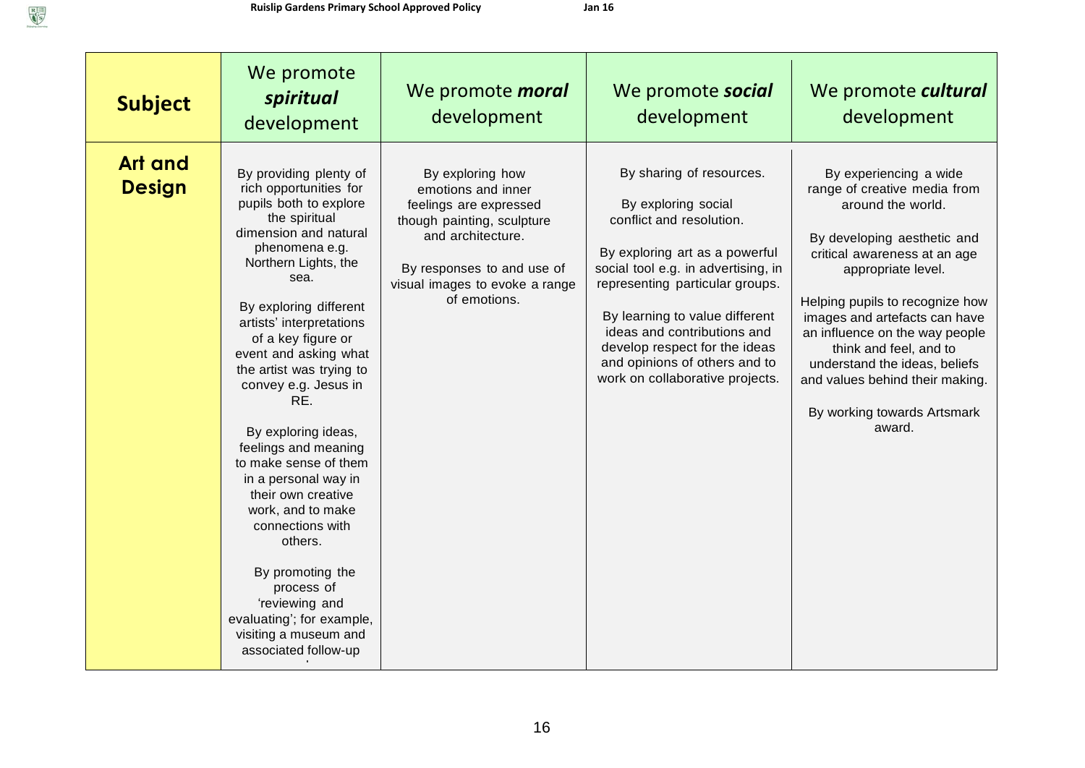| <b>Subject</b>                  | We promote<br>spiritual<br>development                                                                                                                                                                                                                                                                                                                                                                                                                                                                                                                                                                                                             | We promote <i>moral</i><br>development                                                                                                                                                              | We promote social<br>development                                                                                                                                                                                                                                                                                                                              | We promote cultural<br>development                                                                                                                                                                                                                                                                                                                                                                            |
|---------------------------------|----------------------------------------------------------------------------------------------------------------------------------------------------------------------------------------------------------------------------------------------------------------------------------------------------------------------------------------------------------------------------------------------------------------------------------------------------------------------------------------------------------------------------------------------------------------------------------------------------------------------------------------------------|-----------------------------------------------------------------------------------------------------------------------------------------------------------------------------------------------------|---------------------------------------------------------------------------------------------------------------------------------------------------------------------------------------------------------------------------------------------------------------------------------------------------------------------------------------------------------------|---------------------------------------------------------------------------------------------------------------------------------------------------------------------------------------------------------------------------------------------------------------------------------------------------------------------------------------------------------------------------------------------------------------|
| <b>Art and</b><br><b>Design</b> | By providing plenty of<br>rich opportunities for<br>pupils both to explore<br>the spiritual<br>dimension and natural<br>phenomena e.g.<br>Northern Lights, the<br>sea.<br>By exploring different<br>artists' interpretations<br>of a key figure or<br>event and asking what<br>the artist was trying to<br>convey e.g. Jesus in<br>RE.<br>By exploring ideas,<br>feelings and meaning<br>to make sense of them<br>in a personal way in<br>their own creative<br>work, and to make<br>connections with<br>others.<br>By promoting the<br>process of<br>'reviewing and<br>evaluating'; for example,<br>visiting a museum and<br>associated follow-up | By exploring how<br>emotions and inner<br>feelings are expressed<br>though painting, sculpture<br>and architecture.<br>By responses to and use of<br>visual images to evoke a range<br>of emotions. | By sharing of resources.<br>By exploring social<br>conflict and resolution.<br>By exploring art as a powerful<br>social tool e.g. in advertising, in<br>representing particular groups.<br>By learning to value different<br>ideas and contributions and<br>develop respect for the ideas<br>and opinions of others and to<br>work on collaborative projects. | By experiencing a wide<br>range of creative media from<br>around the world.<br>By developing aesthetic and<br>critical awareness at an age<br>appropriate level.<br>Helping pupils to recognize how<br>images and artefacts can have<br>an influence on the way people<br>think and feel, and to<br>understand the ideas, beliefs<br>and values behind their making.<br>By working towards Artsmark<br>award. |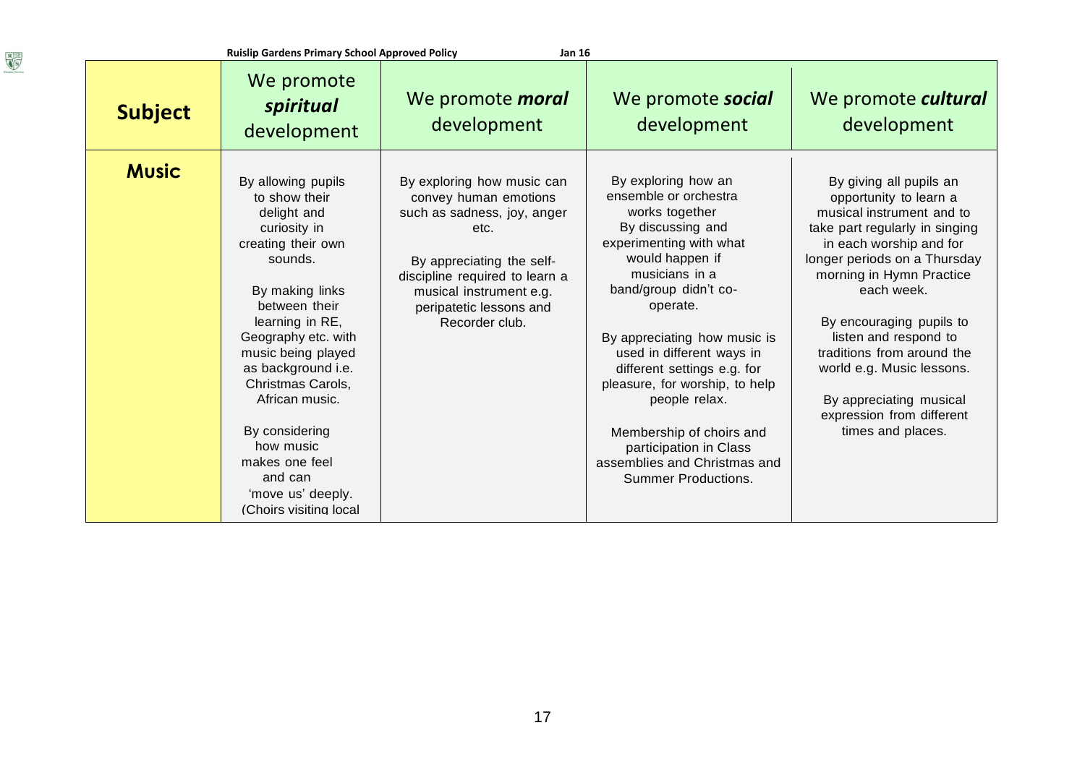| <b>Subject</b> | We promote<br>spiritual<br>development                                                                                                                                                                                                                                                                                                                                          | We promote <i>moral</i><br>development                                                                                                                                                                                            | We promote <b>social</b><br>development                                                                                                                                                                                                                                                                                                                                                                                                                     | We promote cultural<br>development                                                                                                                                                                                                                                                                                                                                                                                 |
|----------------|---------------------------------------------------------------------------------------------------------------------------------------------------------------------------------------------------------------------------------------------------------------------------------------------------------------------------------------------------------------------------------|-----------------------------------------------------------------------------------------------------------------------------------------------------------------------------------------------------------------------------------|-------------------------------------------------------------------------------------------------------------------------------------------------------------------------------------------------------------------------------------------------------------------------------------------------------------------------------------------------------------------------------------------------------------------------------------------------------------|--------------------------------------------------------------------------------------------------------------------------------------------------------------------------------------------------------------------------------------------------------------------------------------------------------------------------------------------------------------------------------------------------------------------|
| <b>Music</b>   | By allowing pupils<br>to show their<br>delight and<br>curiosity in<br>creating their own<br>sounds.<br>By making links<br>between their<br>learning in RE,<br>Geography etc. with<br>music being played<br>as background i.e.<br>Christmas Carols,<br>African music.<br>By considering<br>how music<br>makes one feel<br>and can<br>'move us' deeply.<br>(Choirs visiting local | By exploring how music can<br>convey human emotions<br>such as sadness, joy, anger<br>etc.<br>By appreciating the self-<br>discipline required to learn a<br>musical instrument e.g.<br>peripatetic lessons and<br>Recorder club. | By exploring how an<br>ensemble or orchestra<br>works together<br>By discussing and<br>experimenting with what<br>would happen if<br>musicians in a<br>band/group didn't co-<br>operate.<br>By appreciating how music is<br>used in different ways in<br>different settings e.g. for<br>pleasure, for worship, to help<br>people relax.<br>Membership of choirs and<br>participation in Class<br>assemblies and Christmas and<br><b>Summer Productions.</b> | By giving all pupils an<br>opportunity to learn a<br>musical instrument and to<br>take part regularly in singing<br>in each worship and for<br>longer periods on a Thursday<br>morning in Hymn Practice<br>each week.<br>By encouraging pupils to<br>listen and respond to<br>traditions from around the<br>world e.g. Music lessons.<br>By appreciating musical<br>expression from different<br>times and places. |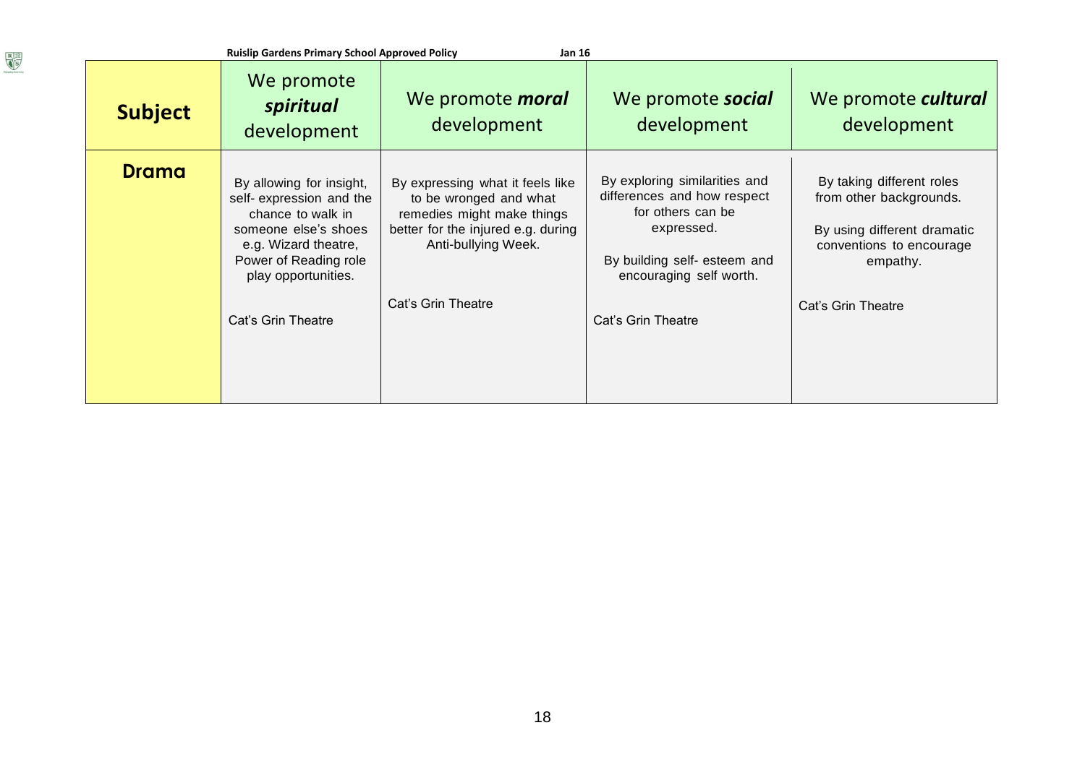| <b>Ruislip Gardens Primary School Approved Policy</b><br><b>Jan 16</b> |                                                                                                                                                                                                 |                                                                                                                                                                             |                                                                                                                                                                                  |                                                                                                                                                   |
|------------------------------------------------------------------------|-------------------------------------------------------------------------------------------------------------------------------------------------------------------------------------------------|-----------------------------------------------------------------------------------------------------------------------------------------------------------------------------|----------------------------------------------------------------------------------------------------------------------------------------------------------------------------------|---------------------------------------------------------------------------------------------------------------------------------------------------|
| <b>Subject</b>                                                         | We promote<br>spiritual<br>development                                                                                                                                                          | We promote <i>moral</i><br>development                                                                                                                                      | We promote <b>social</b><br>development                                                                                                                                          | We promote cultural<br>development                                                                                                                |
| <b>Drama</b>                                                           | By allowing for insight,<br>self- expression and the<br>chance to walk in<br>someone else's shoes<br>e.g. Wizard theatre,<br>Power of Reading role<br>play opportunities.<br>Cat's Grin Theatre | By expressing what it feels like<br>to be wronged and what<br>remedies might make things<br>better for the injured e.g. during<br>Anti-bullying Week.<br>Cat's Grin Theatre | By exploring similarities and<br>differences and how respect<br>for others can be<br>expressed.<br>By building self- esteem and<br>encouraging self worth.<br>Cat's Grin Theatre | By taking different roles<br>from other backgrounds.<br>By using different dramatic<br>conventions to encourage<br>empathy.<br>Cat's Grin Theatre |

 $\begin{tabular}{|c|c|} \hline R & \equiv \\ \hline $6^{\rm G}$ \\ \hline $8^{\rm G}$ \\ \hline \end{tabular}$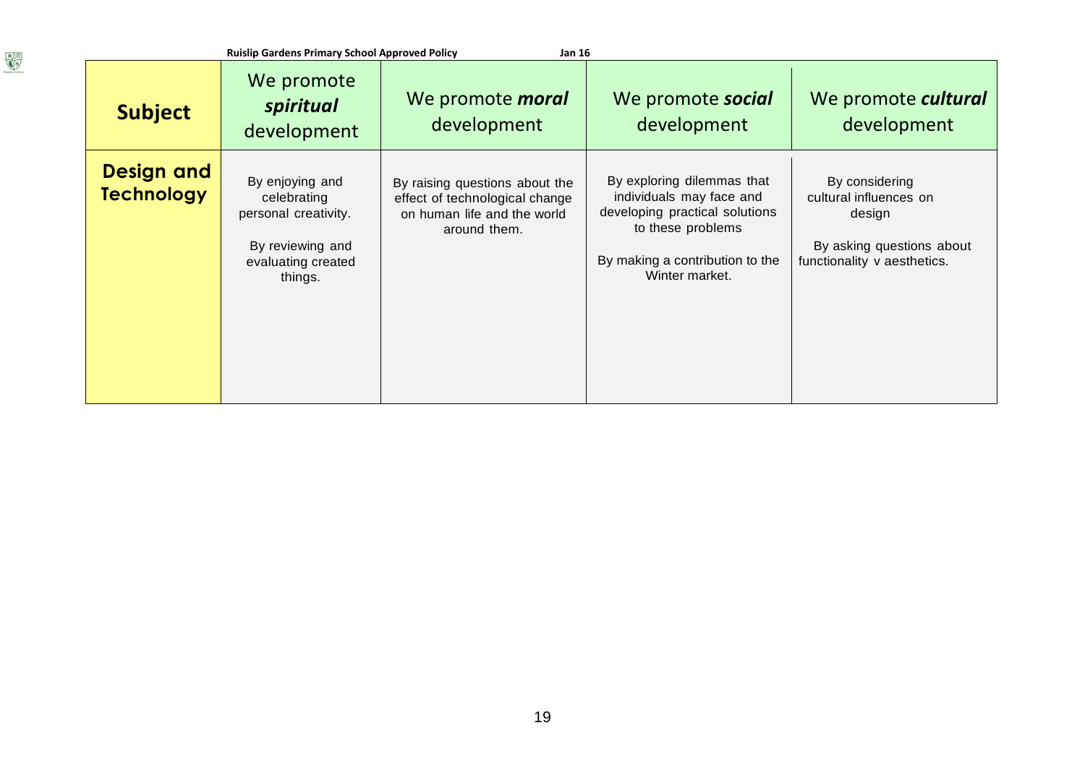| <b>Ruislip Gardens Primary School Approved Policy</b><br><b>Jan 16</b> |                                                                                                             |                                                                                                                 |                                                                                                                                                                    |                                                                                                                |  |
|------------------------------------------------------------------------|-------------------------------------------------------------------------------------------------------------|-----------------------------------------------------------------------------------------------------------------|--------------------------------------------------------------------------------------------------------------------------------------------------------------------|----------------------------------------------------------------------------------------------------------------|--|
| <b>Subject</b>                                                         | We promote<br>spiritual<br>development                                                                      | We promote <i>moral</i><br>development                                                                          | We promote social<br>development                                                                                                                                   | We promote cultural<br>development                                                                             |  |
| <b>Design and</b><br><b>Technology</b>                                 | By enjoying and<br>celebrating<br>personal creativity.<br>By reviewing and<br>evaluating created<br>things. | By raising questions about the<br>effect of technological change<br>on human life and the world<br>around them. | By exploring dilemmas that<br>individuals may face and<br>developing practical solutions<br>to these problems<br>By making a contribution to the<br>Winter market. | By considering<br>cultural influences on<br>design<br>By asking questions about<br>functionality v aesthetics. |  |

 $\begin{tabular}{|c|c|} \hline R & \equiv \\ \hline $6^{\rm G}$ \\ \hline $8^{\rm G}$ \\ \hline \end{tabular}$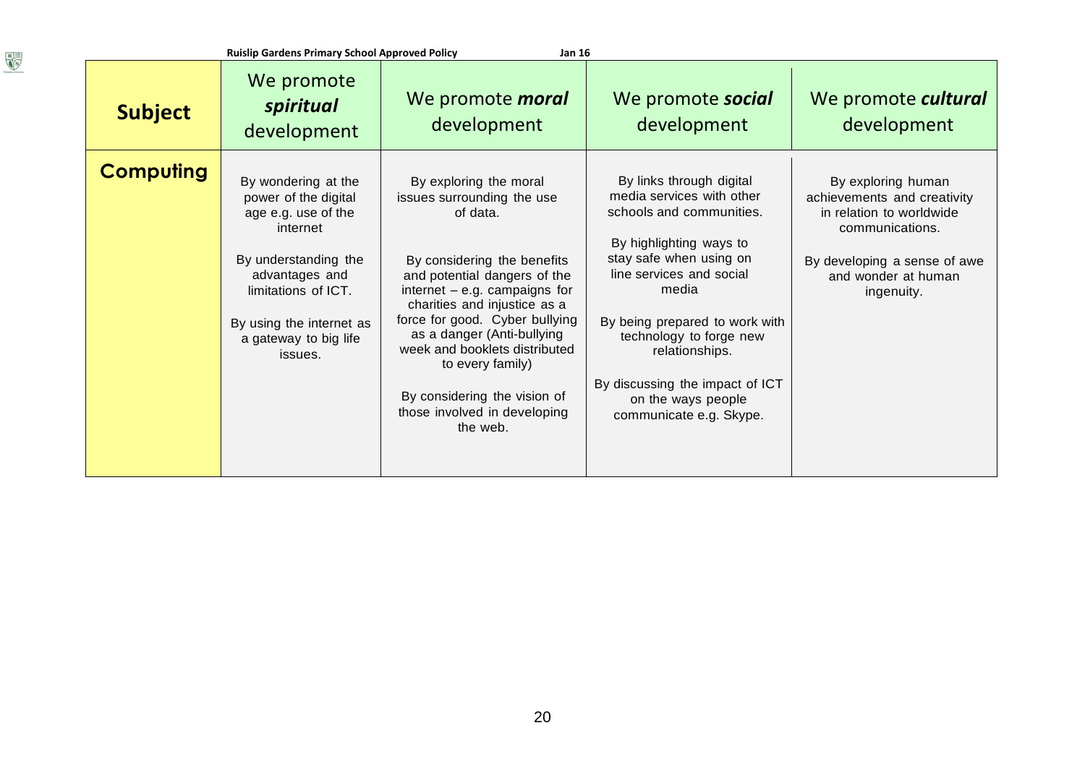| <b>Ruislip Gardens Primary School Approved Policy</b><br><b>Jan 16</b> |                                                                                                                                                                                                                 |                                                                                                                                                                                                                                                                                                                                                                                                     |                                                                                                                                                                                                                                                                                                                                                 |                                                                                                                                                                       |
|------------------------------------------------------------------------|-----------------------------------------------------------------------------------------------------------------------------------------------------------------------------------------------------------------|-----------------------------------------------------------------------------------------------------------------------------------------------------------------------------------------------------------------------------------------------------------------------------------------------------------------------------------------------------------------------------------------------------|-------------------------------------------------------------------------------------------------------------------------------------------------------------------------------------------------------------------------------------------------------------------------------------------------------------------------------------------------|-----------------------------------------------------------------------------------------------------------------------------------------------------------------------|
| <b>Subject</b>                                                         | We promote<br>spiritual<br>development                                                                                                                                                                          | We promote <i>moral</i><br>development                                                                                                                                                                                                                                                                                                                                                              | We promote social<br>development                                                                                                                                                                                                                                                                                                                | We promote cultural<br>development                                                                                                                                    |
| <b>Computing</b>                                                       | By wondering at the<br>power of the digital<br>age e.g. use of the<br>internet<br>By understanding the<br>advantages and<br>limitations of ICT.<br>By using the internet as<br>a gateway to big life<br>issues. | By exploring the moral<br>issues surrounding the use<br>of data.<br>By considering the benefits<br>and potential dangers of the<br>internet $-$ e.g. campaigns for<br>charities and injustice as a<br>force for good. Cyber bullying<br>as a danger (Anti-bullying<br>week and booklets distributed<br>to every family)<br>By considering the vision of<br>those involved in developing<br>the web. | By links through digital<br>media services with other<br>schools and communities.<br>By highlighting ways to<br>stay safe when using on<br>line services and social<br>media<br>By being prepared to work with<br>technology to forge new<br>relationships.<br>By discussing the impact of ICT<br>on the ways people<br>communicate e.g. Skype. | By exploring human<br>achievements and creativity<br>in relation to worldwide<br>communications.<br>By developing a sense of awe<br>and wonder at human<br>ingenuity. |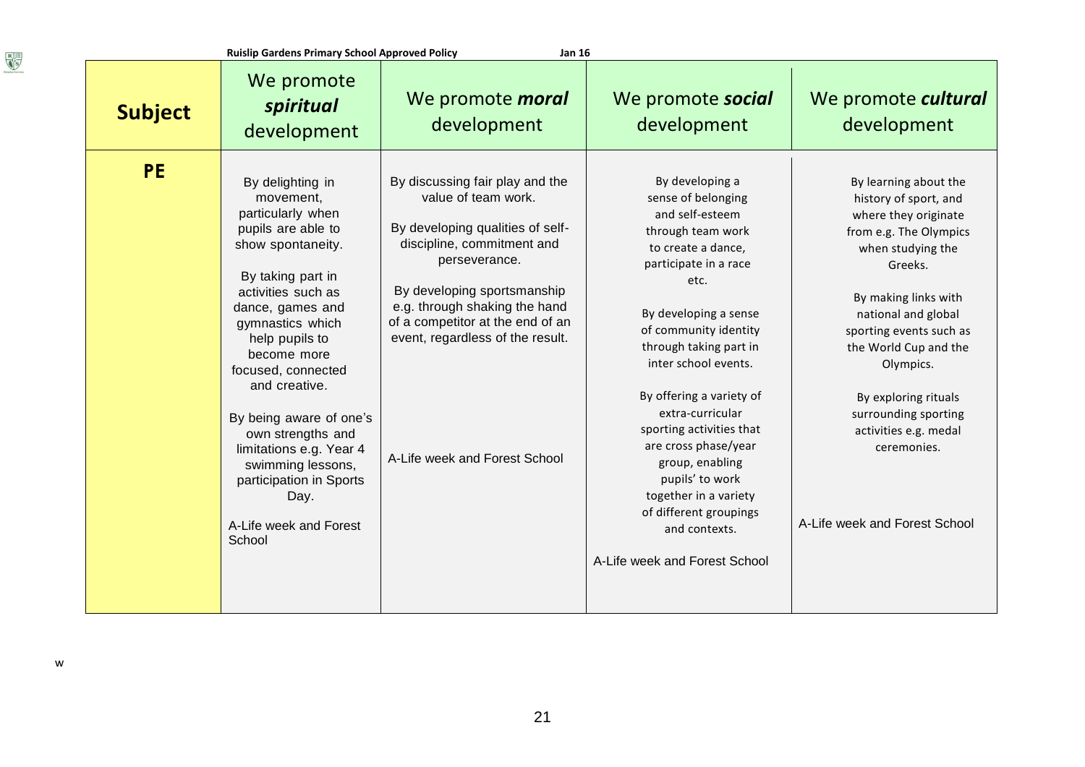| <b>Subject</b> | We promote<br>spiritual<br>development                                                                                                                                                                                                                                                                                                                                                                                          | We promote <i>moral</i><br>development                                                                                                                                                                                                                                                                             | We promote social<br>development                                                                                                                                                                                                                                                                                                                                                                                                                                                        | We promote cultural<br>development                                                                                                                                                                                                                                                                                                                                        |
|----------------|---------------------------------------------------------------------------------------------------------------------------------------------------------------------------------------------------------------------------------------------------------------------------------------------------------------------------------------------------------------------------------------------------------------------------------|--------------------------------------------------------------------------------------------------------------------------------------------------------------------------------------------------------------------------------------------------------------------------------------------------------------------|-----------------------------------------------------------------------------------------------------------------------------------------------------------------------------------------------------------------------------------------------------------------------------------------------------------------------------------------------------------------------------------------------------------------------------------------------------------------------------------------|---------------------------------------------------------------------------------------------------------------------------------------------------------------------------------------------------------------------------------------------------------------------------------------------------------------------------------------------------------------------------|
| <b>PE</b>      | By delighting in<br>movement,<br>particularly when<br>pupils are able to<br>show spontaneity.<br>By taking part in<br>activities such as<br>dance, games and<br>gymnastics which<br>help pupils to<br>become more<br>focused, connected<br>and creative.<br>By being aware of one's<br>own strengths and<br>limitations e.g. Year 4<br>swimming lessons,<br>participation in Sports<br>Day.<br>A-Life week and Forest<br>School | By discussing fair play and the<br>value of team work.<br>By developing qualities of self-<br>discipline, commitment and<br>perseverance.<br>By developing sportsmanship<br>e.g. through shaking the hand<br>of a competitor at the end of an<br>event, regardless of the result.<br>A-Life week and Forest School | By developing a<br>sense of belonging<br>and self-esteem<br>through team work<br>to create a dance,<br>participate in a race<br>etc.<br>By developing a sense<br>of community identity<br>through taking part in<br>inter school events.<br>By offering a variety of<br>extra-curricular<br>sporting activities that<br>are cross phase/year<br>group, enabling<br>pupils' to work<br>together in a variety<br>of different groupings<br>and contexts.<br>A-Life week and Forest School | By learning about the<br>history of sport, and<br>where they originate<br>from e.g. The Olympics<br>when studying the<br>Greeks.<br>By making links with<br>national and global<br>sporting events such as<br>the World Cup and the<br>Olympics.<br>By exploring rituals<br>surrounding sporting<br>activities e.g. medal<br>ceremonies.<br>A-Life week and Forest School |

 $\begin{tabular}{|c|c|} \hline R & \equiv \\ \hline $6^{\rm G}$ \\ \hline $8^{\rm G}$ \\ \hline \end{tabular}$